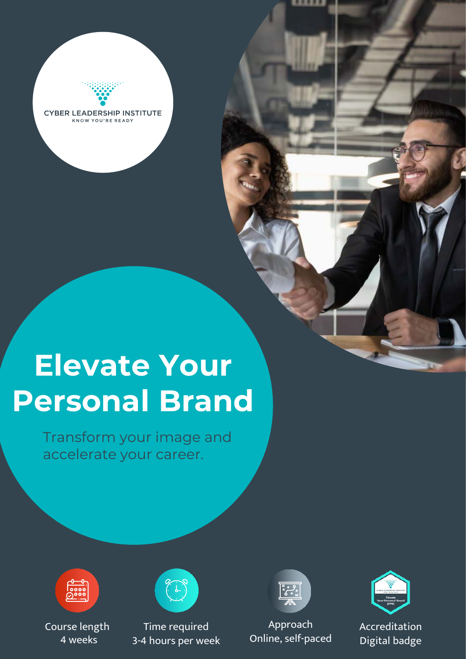

# **Elevate Your Personal Brand**

Transform your image and accelerate your career.



Course length 4 weeks



Time required 3-4 hours per week



Approach Online, self-paced



Accreditation Digital badge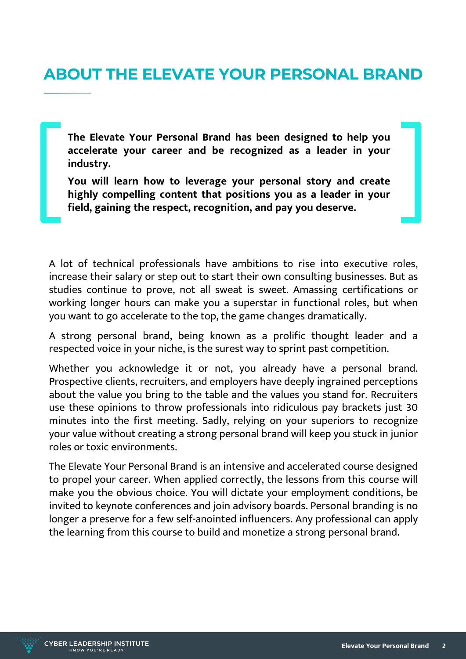### **ABOUT THE ELEVATE YOUR PERSONAL BRAND**

**The Elevate Your Personal Brand has been designed to help you accelerate your career and be recognized as a leader in your industry.**

**You will learn how to leverage your personal story and create highly compelling content that positions you as a leader in your field, gaining the respect, recognition, and pay you deserve.**

A lot of technical professionals have ambitions to rise into executive roles, increase their salary or step out to start their own consulting businesses. But as studies continue to prove, not all sweat is sweet. Amassing certifications or working longer hours can make you a superstar in functional roles, but when you want to go accelerate to the top, the game changes dramatically.

A strong personal brand, being known as a prolific thought leader and a respected voice in your niche, is the surest way to sprint past competition.

Whether you acknowledge it or not, you already have a personal brand. Prospective clients, recruiters, and employers have deeply ingrained perceptions about the value you bring to the table and the values you stand for. Recruiters use these opinions to throw professionals into ridiculous pay brackets just 30 minutes into the first meeting. Sadly, relying on your superiors to recognize your value without creating a strong personal brand will keep you stuck in junior roles or toxic environments.

The Elevate Your Personal Brand is an intensive and accelerated course designed to propel your career. When applied correctly, the lessons from this course will make you the obvious choice. You will dictate your employment conditions, be invited to keynote conferences and join advisory boards. Personal branding is no longer a preserve for a few self-anointed influencers. Any professional can apply the learning from this course to build and monetize a strong personal brand.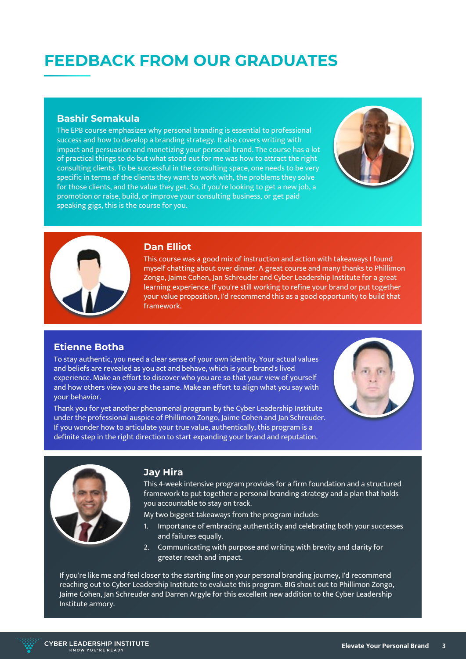### **FEEDBACK FROM OUR GRADUATES**

#### **Bashir Semakula**

The EPB course emphasizes why personal branding is essential to professional success and how to develop a branding strategy. It also covers writing with impact and persuasion and monetizing your personal brand. The course has a lot of practical things to do but what stood out for me was how to attract the right consulting clients. To be successful in the consulting space, one needs to be very specific in terms of the clients they want to work with, the problems they solve for those clients, and the value they get. So, if you're looking to get a new job, a promotion or raise, build, or improve your consulting business, or get paid speaking gigs, this is the course for you.





#### **Dan Elliot**

This course was a good mix of instruction and action with takeaways I found myself chatting about over dinner. A great course and many thanks to Phillimon Zongo, Jaime Cohen, Jan Schreuder and Cyber Leadership Institute for a great learning experience. If you're still working to refine your brand or put together your value proposition, I'd recommend this as a good opportunity to build that framework.

#### **Etienne Botha**

To stay authentic, you need a clear sense of your own identity. Your actual values and beliefs are revealed as you act and behave, which is your brand's lived experience. Make an effort to discover who you are so that your view of yourself and how others view you are the same. Make an effort to align what you say with your behavior.

Thank you for yet another phenomenal program by the Cyber Leadership Institute under the professional auspice of Phillimon Zongo, Jaime Cohen and Jan Schreuder. If you wonder how to articulate your true value, authentically, this program is a definite step in the right direction to start expanding your brand and reputation.





#### **Jay Hira**

This 4-week intensive program provides for a firm foundation and a structured framework to put together a personal branding strategy and a plan that holds you accountable to stay on track.

My two biggest takeaways from the program include:

- Importance of embracing authenticity and celebrating both your successes and failures equally.
- 2. Communicating with purpose and writing with brevity and clarity for greater reach and impact.

If you're like me and feel closer to the starting line on your personal branding journey, I'd recommend reaching out to Cyber Leadership Institute to evaluate this program. BIG shout out to Phillimon Zongo, Jaime Cohen, Jan Schreuder and Darren Argyle for this excellent new addition to the Cyber Leadership Institute armory.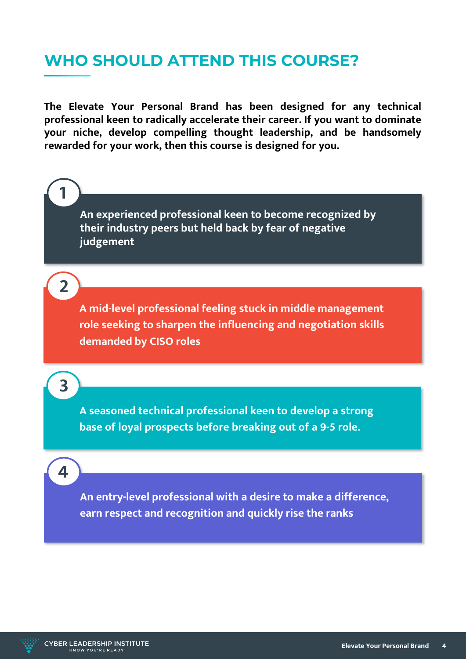### **WHO SHOULD ATTEND THIS COURSE?**

**The Elevate Your Personal Brand has been designed for any technical professional keen to radically accelerate their career. If you want to dominate your niche, develop compelling thought leadership, and be handsomely rewarded for your work, then this course is designed for you.**

**An experienced professional keen to become recognized by their industry peers but held back by fear of negative judgement**

**2**

**1**

**A mid-level professional feeling stuck in middle management role seeking to sharpen the influencing and negotiation skills demanded by CISO roles** 

**3**

**4**

**A seasoned technical professional keen to develop a strong base of loyal prospects before breaking out of a 9-5 role.** 

**An entry-level professional with a desire to make a difference, earn respect and recognition and quickly rise the ranks**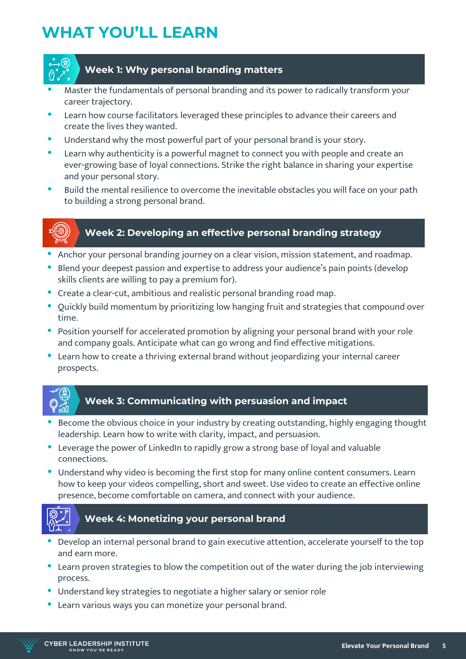## **WHAT YOU'LL LEARN**



#### **Week 1: Why personal branding matters**

- Master the fundamentals of personal branding and its power to radically transform your career trajectory.
- Learn how course facilitators leveraged these principles to advance their careers and create the lives they wanted.
- Understand why the most powerful part of your personal brand is your story.
- Learn why authenticity is a powerful magnet to connect you with people and create an ever-growing base of loyal connections. Strike the right balance in sharing your expertise and your personal story.
- Build the mental resilience to overcome the inevitable obstacles you will face on your path to building a strong personal brand.



#### **Week 2: Developing an effective personal branding strategy**

- Anchor your personal branding journey on a clear vision, mission statement, and roadmap.
- Blend your deepest passion and expertise to address your audience's pain points (develop skills clients are willing to pay a premium for).
- Create a clear-cut, ambitious and realistic personal branding road map.
- Quickly build momentum by prioritizing low hanging fruit and strategies that compound over time.
- Position yourself for accelerated promotion by aligning your personal brand with your role and company goals. Anticipate what can go wrong and find effective mitigations.
- Learn how to create a thriving external brand without jeopardizing your internal career prospects.



#### **Week 3: Communicating with persuasion and impact**

- Become the obvious choice in your industry by creating outstanding, highly engaging thought leadership. Learn how to write with clarity, impact, and persuasion.
- Leverage the power of LinkedIn to rapidly grow a strong base of loyal and valuable connections.
- Understand why video is becoming the first stop for many online content consumers. Learn how to keep your videos compelling, short and sweet. Use video to create an effective online presence, become comfortable on camera, and connect with your audience.



#### **Week 4: Monetizing your personal brand**

- Develop an internal personal brand to gain executive attention, accelerate yourself to the top and earn more.
- Learn proven strategies to blow the competition out of the water during the job interviewing process.
- Understand key strategies to negotiate a higher salary or senior role
- Learn various ways you can monetize your personal brand.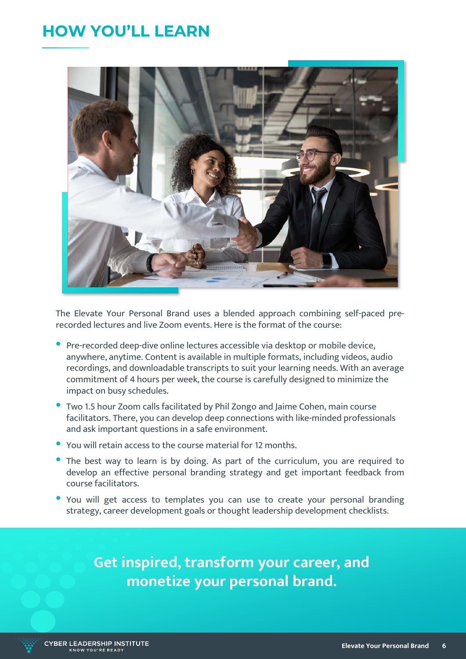### **HOW YOU'LL LEARN**



The Elevate Your Personal Brand uses a blended approach combining self-paced prerecorded lectures and live Zoom events. Here is the format of the course:

- Pre-recorded deep-dive online lectures accessible via desktop or mobile device, anywhere, anytime. Content is available in multiple formats, including videos, audio recordings, and downloadable transcripts to suit your learning needs. With an average commitment of 4 hours per week, the course is carefully designed to minimize the impact on busy schedules.
- Two 1.5 hour Zoom calls facilitated by Phil Zongo and Jaime Cohen, main course facilitators. There, you can develop deep connections with like-minded professionals and ask important questions in a safe environment.
- You will retain access to the course material for 12 months.
- The best way to learn is by doing. As part of the curriculum, you are required to develop an effective personal branding strategy and get important feedback from course facilitators.
- You will get access to templates you can use to create your personal branding strategy, career development goals or thought leadership development checklists.

**Get inspired, transform your career, and monetize your personal brand.**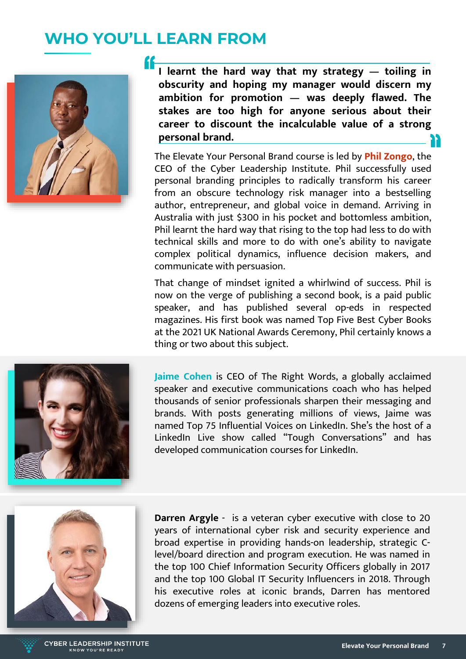### **WHO YOU'LL LEARN FROM**



**I learnt the hard way that my strategy — toiling in obscurity and hoping my manager would discern my ambition for promotion — was deeply flawed. The stakes are too high for anyone serious about their career to discount the incalculable value of a strong personal brand.**

The Elevate Your Personal Brand course is led by **Phil Zongo**, the CEO of the Cyber Leadership Institute. Phil successfully used personal branding principles to radically transform his career from an obscure technology risk manager into a bestselling author, entrepreneur, and global voice in demand. Arriving in Australia with just \$300 in his pocket and bottomless ambition, Phil learnt the hard way that rising to the top had less to do with technical skills and more to do with one's ability to navigate complex political dynamics, influence decision makers, and communicate with persuasion.

That change of mindset ignited a whirlwind of success. Phil is now on the verge of publishing a second book, is a paid public speaker, and has published several op-eds in respected magazines. His first book was named Top Five Best Cyber Books at the 2021 UK National Awards Ceremony, Phil certainly knows a thing or two about this subject.



**Jaime Cohen** is CEO of The Right Words, a globally acclaimed speaker and executive communications coach who has helped thousands of senior professionals sharpen their messaging and brands. With posts generating millions of views, Jaime was named Top 75 Influential Voices on LinkedIn. She's the host of a LinkedIn Live show called "Tough Conversations" and has developed communication courses for LinkedIn.



**Darren Argyle** - is a veteran cyber executive with close to 20 years of international cyber risk and security experience and broad expertise in providing hands-on leadership, strategic Clevel/board direction and program execution. He was named in the top 100 Chief Information Security Officers globally in 2017 and the top 100 Global IT Security Influencers in 2018. Through his executive roles at iconic brands, Darren has mentored dozens of emerging leaders into executive roles.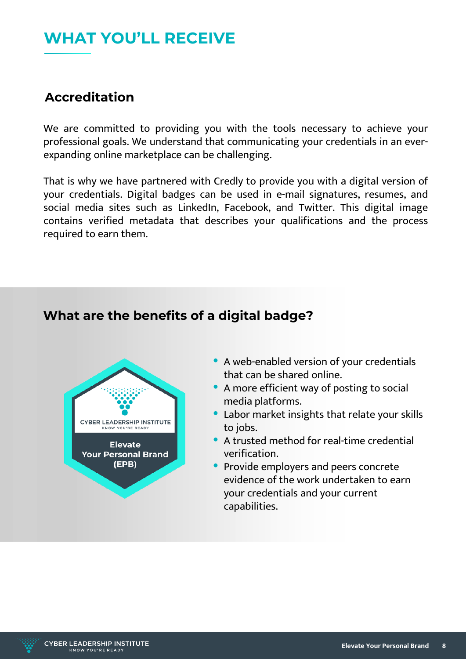### **WHAT YOU'LL RECEIVE**

### **Accreditation**

We are committed to providing you with the tools necessary to achieve your professional goals. We understand that communicating your credentials in an everexpanding online marketplace can be challenging.

That is why we have partnered with [Credly](https://www.youracclaim.com/) to provide you with a digital version of your credentials. Digital badges can be used in e-mail signatures, resumes, and social media sites such as LinkedIn, Facebook, and Twitter. This digital image contains verified metadata that describes your qualifications and the process required to earn them.

### **What are the benefits of a digital badge?**



- A web-enabled version of your credentials that can be shared online.
- A more efficient way of posting to social media platforms.
- Labor market insights that relate your skills to jobs.
- A trusted method for real-time credential verification.
- Provide employers and peers concrete evidence of the work undertaken to earn your credentials and your current capabilities.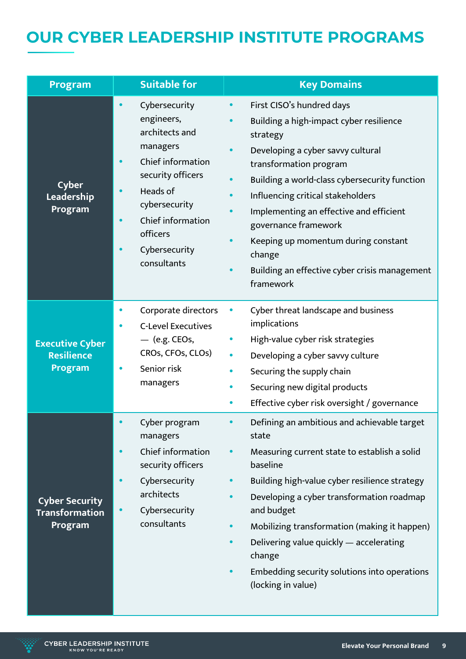# **OUR CYBER LEADERSHIP INSTITUTE PROGRAMS**

| Program                                                   | <b>Suitable for</b>                                                                                                                                                                               | <b>Key Domains</b>                                                                                                                                                                                                                                                                                                                                                                                                                                                                                    |
|-----------------------------------------------------------|---------------------------------------------------------------------------------------------------------------------------------------------------------------------------------------------------|-------------------------------------------------------------------------------------------------------------------------------------------------------------------------------------------------------------------------------------------------------------------------------------------------------------------------------------------------------------------------------------------------------------------------------------------------------------------------------------------------------|
| <b>Cyber</b><br>Leadership<br>Program                     | Cybersecurity<br>engineers,<br>architects and<br>managers<br>Chief information<br>security officers<br>Heads of<br>cybersecurity<br>Chief information<br>officers<br>Cybersecurity<br>consultants | First CISO's hundred days<br>$\bullet$<br>Building a high-impact cyber resilience<br>strategy<br>Developing a cyber savvy cultural<br>$\bullet$<br>transformation program<br>Building a world-class cybersecurity function<br>$\bullet$<br>Influencing critical stakeholders<br>$\bullet$<br>Implementing an effective and efficient<br>$\bullet$<br>governance framework<br>Keeping up momentum during constant<br>change<br>Building an effective cyber crisis management<br>$\bullet$<br>framework |
| <b>Executive Cyber</b><br><b>Resilience</b><br>Program    | Corporate directors<br><b>C-Level Executives</b><br>$-$ (e.g. CEOs,<br>CROs, CFOs, CLOs)<br>Senior risk<br>managers                                                                               | Cyber threat landscape and business<br>$\bullet$<br>implications<br>High-value cyber risk strategies<br>$\bullet$<br>Developing a cyber savvy culture<br>$\bullet$<br>Securing the supply chain<br>$\bullet$<br>Securing new digital products<br>$\bullet$<br>Effective cyber risk oversight / governance<br>$\bullet$                                                                                                                                                                                |
| <b>Cyber Security</b><br><b>Transformation</b><br>Program | Cyber program<br>managers<br>Chief information<br>security officers<br>Cybersecurity<br>architects<br>Cybersecurity<br>$\bullet$<br>consultants                                                   | Defining an ambitious and achievable target<br>$\bullet$<br>state<br>Measuring current state to establish a solid<br>$\bullet$<br>baseline<br>Building high-value cyber resilience strategy<br>$\bullet$<br>Developing a cyber transformation roadmap<br>$\bullet$<br>and budget<br>Mobilizing transformation (making it happen)<br>$\bullet$<br>Delivering value quickly - accelerating<br>$\bullet$<br>change<br>Embedding security solutions into operations<br>$\bullet$<br>(locking in value)    |